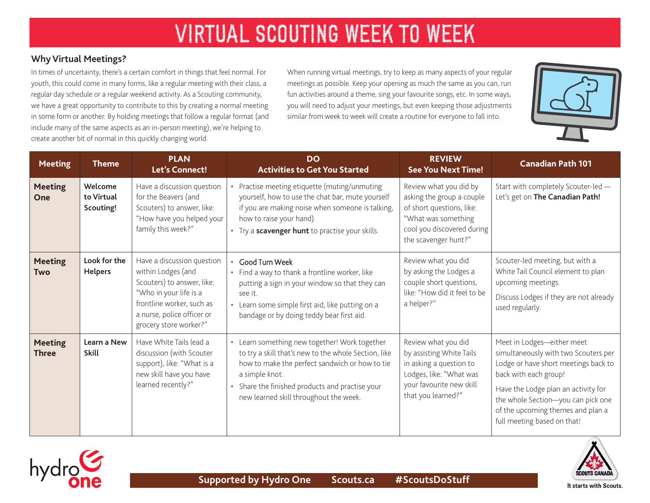# VIRTUAL SCOUTING WEEK TO WEEK

## **Why Virtual Meetings?**

In times of uncertainty, there's a certain comfort in things that feel normal. For youth, this could come in many forms, like a regular meeting with their class, a regular day schedule or a regular weekend activity. As a Scouting community, we have a great opportunity to contribute to this by creating a normal meeting in some form or another. By holding meetings that follow a regular format (and include many of the same aspects as an in-person meeting), we're helping to create another bit of normal in this quickly changing world.

When running virtual meetings, try to keep as many aspects of your regular meetings as possible. Keep your opening as much the same as you can, run fun activities around a theme, sing your favourite songs, etc. In some ways, you will need to adjust your meetings, but even keeping those adjustments similar from week to week will create a routine for everyone to fall into.



| <b>Meeting</b>                 | <b>Theme</b>                       | <b>PLAN</b><br><b>Let's Connect!</b>                                                                                                                                                          | <b>DO</b><br><b>Activities to Get You Started</b>                                                                                                                                                                                                                      | <b>REVIEW</b><br><b>See You Next Time!</b>                                                                                                                    | <b>Canadian Path 101</b>                                                                                                                                                                                                                                                             |
|--------------------------------|------------------------------------|-----------------------------------------------------------------------------------------------------------------------------------------------------------------------------------------------|------------------------------------------------------------------------------------------------------------------------------------------------------------------------------------------------------------------------------------------------------------------------|---------------------------------------------------------------------------------------------------------------------------------------------------------------|--------------------------------------------------------------------------------------------------------------------------------------------------------------------------------------------------------------------------------------------------------------------------------------|
| <b>Meeting</b><br>One          | Welcome<br>to Virtual<br>Scouting! | Have a discussion question<br>for the Beavers (and<br>Scouters) to answer, like:<br>"How have you helped your<br>family this week?"                                                           | • Practise meeting etiquette (muting/unmuting<br>yourself, how to use the chat bar, mute yourself<br>if you are making noise when someone is talking,<br>how to raise your hand).<br>• Try a scavenger hunt to practise your skills.                                   | Review what you did by<br>asking the group a couple<br>of short questions, like:<br>"What was something<br>cool you discovered during<br>the scavenger hunt?" | Start with completely Scouter-led -<br>Let's get on The Canadian Path!                                                                                                                                                                                                               |
| <b>Meeting</b><br><b>Two</b>   | Look for the<br><b>Helpers</b>     | Have a discussion question<br>within Lodges (and<br>Scouters) to answer, like:<br>"Who in your life is a<br>frontline worker, such as<br>a nurse, police officer or<br>grocery store worker?" | · Good Turn Week<br>• Find a way to thank a frontline worker, like<br>putting a sign in your window so that they can<br>see it.<br>• Learn some simple first aid, like putting on a<br>bandage or by doing teddy bear first aid.                                       | Review what you did<br>by asking the Lodges a<br>couple short questions,<br>like: "How did it feel to be<br>a helper?"                                        | Scouter-led meeting, but with a<br>White Tail Council element to plan<br>upcoming meetings.<br>Discuss Lodges if they are not already<br>used regularly.                                                                                                                             |
| <b>Meeting</b><br><b>Three</b> | Learn a New<br><b>Skill</b>        | Have White Tails lead a<br>discussion (with Scouter<br>support), like: "What is a<br>new skill have you have<br>learned recently?"                                                            | • Learn something new together! Work together<br>to try a skill that's new to the whole Section, like<br>how to make the perfect sandwich or how to tie<br>a simple knot.<br>• Share the finished products and practise your<br>new learned skill throughout the week. | Review what you did<br>by assisting White Tails<br>in asking a question to<br>Lodges, like: "What was<br>your favourite new skill<br>that you learned?"       | Meet in Lodges-either meet<br>simultaneously with two Scouters per<br>Lodge or have short meetings back to<br>back with each group!<br>Have the Lodge plan an activity for<br>the whole Section-you can pick one<br>of the upcoming themes and plan a<br>full meeting based on that! |





It starts with Scouts.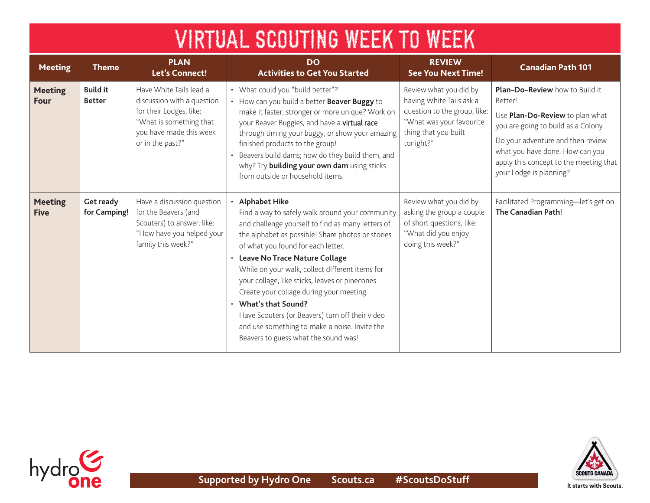| <b>VIRTUAL SCOUTING WEEK TO WEEK</b> |                                  |                                                                                                                                                            |                                                                                                                                                                                                                                                                                                                                                                                                                                                                                                                                                                                  |                                                                                                                                                     |                                                                                                                                                                                                                                                                         |  |  |  |
|--------------------------------------|----------------------------------|------------------------------------------------------------------------------------------------------------------------------------------------------------|----------------------------------------------------------------------------------------------------------------------------------------------------------------------------------------------------------------------------------------------------------------------------------------------------------------------------------------------------------------------------------------------------------------------------------------------------------------------------------------------------------------------------------------------------------------------------------|-----------------------------------------------------------------------------------------------------------------------------------------------------|-------------------------------------------------------------------------------------------------------------------------------------------------------------------------------------------------------------------------------------------------------------------------|--|--|--|
| <b>Meeting</b>                       | <b>Theme</b>                     | <b>PLAN</b><br>Let's Connect!                                                                                                                              | <b>DO</b><br><b>Activities to Get You Started</b>                                                                                                                                                                                                                                                                                                                                                                                                                                                                                                                                | <b>REVIEW</b><br><b>See You Next Time!</b>                                                                                                          | <b>Canadian Path 101</b>                                                                                                                                                                                                                                                |  |  |  |
| <b>Meeting</b><br><b>Four</b>        | <b>Build it</b><br><b>Better</b> | Have White Tails lead a<br>discussion with a question<br>for their Lodges, like:<br>"What is something that<br>you have made this week<br>or in the past?" | • What could you "build better"?<br>• How can you build a better Beaver Buggy to<br>make it faster, stronger or more unique? Work on<br>your Beaver Buggies, and have a virtual race<br>through timing your buggy, or show your amazing<br>finished products to the group!<br>Beavers build dams; how do they build them, and<br>why? Try building your own dam using sticks<br>from outside or household items.                                                                                                                                                                 | Review what you did by<br>having White Tails ask a<br>question to the group, like:<br>"What was your favourite<br>thing that you built<br>tonight?" | <b>Plan-Do-Review</b> how to Build it<br>Better!<br>Use Plan-Do-Review to plan what<br>you are going to build as a Colony.<br>Do your adventure and then review<br>what you have done. How can you<br>apply this concept to the meeting that<br>your Lodge is planning? |  |  |  |
| <b>Meeting</b><br><b>Five</b>        | Get ready<br>for Camping!        | Have a discussion question<br>for the Beavers (and<br>Scouters) to answer, like:<br>"How have you helped your<br>family this week?"                        | <b>Alphabet Hike</b><br>Find a way to safely walk around your community<br>and challenge yourself to find as many letters of<br>the alphabet as possible! Share photos or stories<br>of what you found for each letter.<br>· Leave No Trace Nature Collage<br>While on your walk, collect different items for<br>your collage, like sticks, leaves or pinecones.<br>Create your collage during your meeting.<br>• What's that Sound?<br>Have Scouters (or Beavers) turn off their video<br>and use something to make a noise. Invite the<br>Beavers to guess what the sound was! | Review what you did by<br>asking the group a couple<br>of short questions, like:<br>"What did you enjoy<br>doing this week?"                        | Facilitated Programming-let's get on<br>The Canadian Path!                                                                                                                                                                                                              |  |  |  |

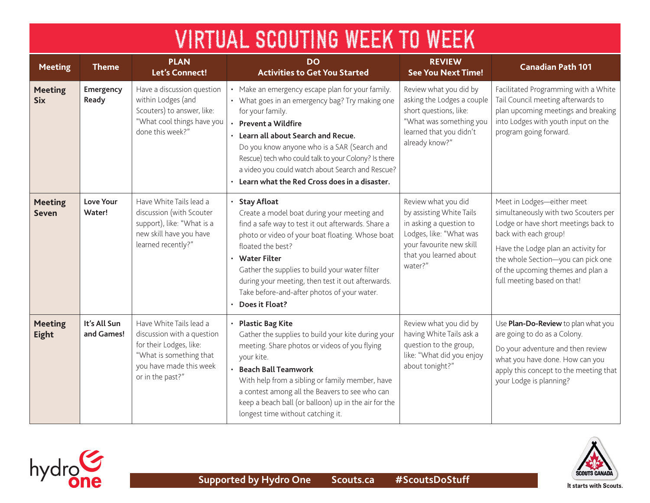| VIRTUAL SCOUTING WEEK TO WEEK  |                            |                                                                                                                                                            |                                                                                                                                                                                                                                                                                                                                                                                                    |                                                                                                                                                                        |                                                                                                                                                                                                                                                                                      |  |  |  |  |
|--------------------------------|----------------------------|------------------------------------------------------------------------------------------------------------------------------------------------------------|----------------------------------------------------------------------------------------------------------------------------------------------------------------------------------------------------------------------------------------------------------------------------------------------------------------------------------------------------------------------------------------------------|------------------------------------------------------------------------------------------------------------------------------------------------------------------------|--------------------------------------------------------------------------------------------------------------------------------------------------------------------------------------------------------------------------------------------------------------------------------------|--|--|--|--|
| <b>Meeting</b>                 | <b>Theme</b>               | <b>PLAN</b><br>Let's Connect!                                                                                                                              | <b>DO</b><br><b>Activities to Get You Started</b>                                                                                                                                                                                                                                                                                                                                                  | <b>REVIEW</b><br><b>See You Next Time!</b>                                                                                                                             | <b>Canadian Path 101</b>                                                                                                                                                                                                                                                             |  |  |  |  |
| <b>Meeting</b><br><b>Six</b>   | Emergency<br>Ready         | Have a discussion question<br>within Lodges (and<br>Scouters) to answer, like:<br>"What cool things have you<br>done this week?"                           | Make an emergency escape plan for your family.<br>• What goes in an emergency bag? Try making one<br>for your family.<br><b>Prevent a Wildfire</b><br>Learn all about Search and Recue.<br>Do you know anyone who is a SAR (Search and<br>Rescue) tech who could talk to your Colony? Is there<br>a video you could watch about Search and Rescue?<br>Learn what the Red Cross does in a disaster. | Review what you did by<br>asking the Lodges a couple<br>short questions, like:<br>"What was something you<br>learned that you didn't<br>already know?"                 | Facilitated Programming with a White<br>Tail Council meeting afterwards to<br>plan upcoming meetings and breaking<br>into Lodges with youth input on the<br>program going forward.                                                                                                   |  |  |  |  |
| <b>Meeting</b><br><b>Seven</b> | Love Your<br>Water!        | Have White Tails lead a<br>discussion (with Scouter<br>support), like: "What is a<br>new skill have you have<br>learned recently?"                         | <b>Stay Afloat</b><br>Create a model boat during your meeting and<br>find a safe way to test it out afterwards. Share a<br>photo or video of your boat floating. Whose boat<br>floated the best?<br>• Water Filter<br>Gather the supplies to build your water filter<br>during your meeting, then test it out afterwards.<br>Take before-and-after photos of your water.<br>Does it Float?         | Review what you did<br>by assisting White Tails<br>in asking a question to<br>Lodges, like: "What was<br>your favourite new skill<br>that you learned about<br>water?" | Meet in Lodges-either meet<br>simultaneously with two Scouters per<br>Lodge or have short meetings back to<br>back with each group!<br>Have the Lodge plan an activity for<br>the whole Section-you can pick one<br>of the upcoming themes and plan a<br>full meeting based on that! |  |  |  |  |
| <b>Meeting</b><br>Eight        | It's All Sun<br>and Games! | Have White Tails lead a<br>discussion with a question<br>for their Lodges, like:<br>"What is something that<br>you have made this week<br>or in the past?" | <b>Plastic Bag Kite</b><br>Gather the supplies to build your kite during your<br>meeting. Share photos or videos of you flying<br>your kite.<br><b>Beach Ball Teamwork</b><br>With help from a sibling or family member, have<br>a contest among all the Beavers to see who can<br>keep a beach ball (or balloon) up in the air for the<br>longest time without catching it.                       | Review what you did by<br>having White Tails ask a<br>question to the group,<br>like: "What did you enjoy<br>about tonight?"                                           | Use Plan-Do-Review to plan what you<br>are going to do as a Colony.<br>Do your adventure and then review<br>what you have done. How can you<br>apply this concept to the meeting that<br>your Lodge is planning?                                                                     |  |  |  |  |





It starts with Scouts.